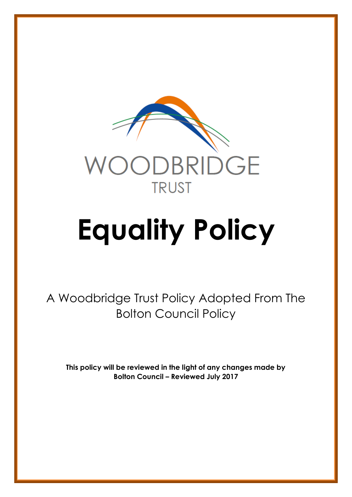

# **Equality Policy**

A Woodbridge Trust Policy Adopted From The Bolton Council Policy

**This policy will be reviewed in the light of any changes made by Bolton Council – Reviewed July 2017**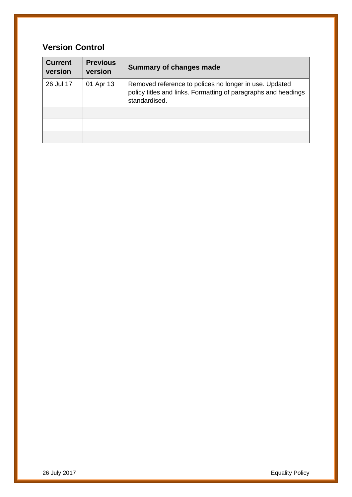#### **Version Control**

| <b>Current</b><br>version | <b>Previous</b><br>version | Summary of changes made                                                                                                                   |
|---------------------------|----------------------------|-------------------------------------------------------------------------------------------------------------------------------------------|
| 26 Jul 17                 | 01 Apr 13                  | Removed reference to polices no longer in use. Updated<br>policy titles and links. Formatting of paragraphs and headings<br>standardised. |
|                           |                            |                                                                                                                                           |
|                           |                            |                                                                                                                                           |
|                           |                            |                                                                                                                                           |

26 July 2017 Equality Policy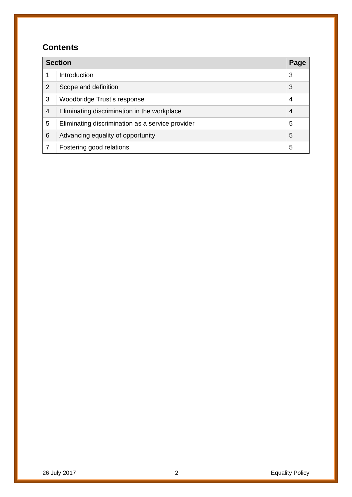#### **Contents**

| <b>Section</b> |                                                  |                |
|----------------|--------------------------------------------------|----------------|
|                | Introduction                                     | 3              |
| $\overline{2}$ | Scope and definition                             | 3              |
| 3              | Woodbridge Trust's response                      | 4              |
| $\overline{4}$ | Eliminating discrimination in the workplace      | $\overline{4}$ |
| 5              | Eliminating discrimination as a service provider | 5              |
| 6              | Advancing equality of opportunity                | 5              |
|                | Fostering good relations                         | 5              |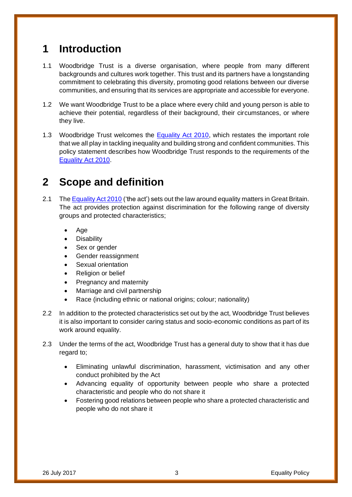### <span id="page-3-0"></span>**1 Introduction**

- 1.1 Woodbridge Trust is a diverse organisation, where people from many different backgrounds and cultures work together. This trust and its partners have a longstanding commitment to celebrating this diversity, promoting good relations between our diverse communities, and ensuring that its services are appropriate and accessible for everyone.
- 1.2 We want Woodbridge Trust to be a place where every child and young person is able to achieve their potential, regardless of their background, their circumstances, or where they live.
- 1.3 Woodbridge Trust welcomes the [Equality Act 2010,](http://www.legislation.gov.uk/ukpga/2010/15/contents) which restates the important role that we all play in tackling inequality and building strong and confident communities. This policy statement describes how Woodbridge Trust responds to the requirements of the [Equality Act 2010.](http://www.legislation.gov.uk/ukpga/2010/15/contents)

### **2 Scope and definition**

- 2.1 Th[e Equality Act 2010](http://www.legislation.gov.uk/ukpga/2010/15/contents) ('the act') sets out the law around equality matters in Great Britain. The act provides protection against discrimination for the following range of diversity groups and protected characteristics;
	- Age
	- **Disability**
	- Sex or gender
	- Gender reassignment
	- Sexual orientation
	- Religion or belief
	- Pregnancy and maternity
	- Marriage and civil partnership
	- Race (including ethnic or national origins; colour; nationality)
- 2.2 In addition to the protected characteristics set out by the act, Woodbridge Trust believes it is also important to consider caring status and socio-economic conditions as part of its work around equality.
- 2.3 Under the terms of the act, Woodbridge Trust has a general duty to show that it has due regard to;
	- Eliminating unlawful discrimination, harassment, victimisation and any other conduct prohibited by the Act
	- Advancing equality of opportunity between people who share a protected characteristic and people who do not share it
	- Fostering good relations between people who share a protected characteristic and people who do not share it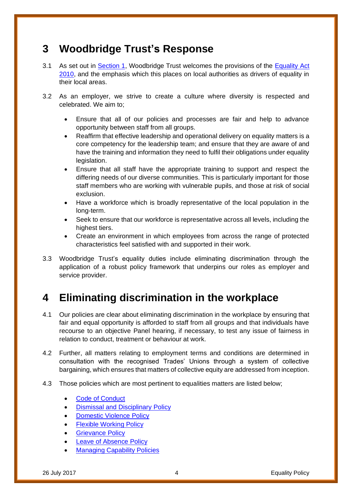### **3 Woodbridge Trust's Response**

- 3.1 As set out in [Section 1,](#page-3-0) Woodbridge Trust welcomes the provisions of the Equality Act [2010,](http://www.legislation.gov.uk/ukpga/2010/15/contents) and the emphasis which this places on local authorities as drivers of equality in their local areas.
- 3.2 As an employer, we strive to create a culture where diversity is respected and celebrated. We aim to;
	- Ensure that all of our policies and processes are fair and help to advance opportunity between staff from all groups.
	- Reaffirm that effective leadership and operational delivery on equality matters is a core competency for the leadership team; and ensure that they are aware of and have the training and information they need to fulfil their obligations under equality legislation.
	- Ensure that all staff have the appropriate training to support and respect the differing needs of our diverse communities. This is particularly important for those staff members who are working with vulnerable pupils, and those at risk of social exclusion.
	- Have a workforce which is broadly representative of the local population in the long-term.
	- Seek to ensure that our workforce is representative across all levels, including the highest tiers.
	- Create an environment in which employees from across the range of protected characteristics feel satisfied with and supported in their work.
- 3.3 Woodbridge Trust's equality duties include eliminating discrimination through the application of a robust policy framework that underpins our roles as employer and service provider.

# **4 Eliminating discrimination in the workplace**

- 4.1 Our policies are clear about eliminating discrimination in the workplace by ensuring that fair and equal opportunity is afforded to staff from all groups and that individuals have recourse to an objective Panel hearing, if necessary, to test any issue of fairness in relation to conduct, treatment or behaviour at work.
- 4.2 Further, all matters relating to employment terms and conditions are determined in consultation with the recognised Trades' Unions through a system of collective bargaining, which ensures that matters of collective equity are addressed from inception.
- 4.3 Those policies which are most pertinent to equalities matters are listed below;
	- [Code of Conduct](https://extranet.bolton.gov.uk/website/pages/view.aspx?f=Code%20of%20Conduct-HR.docx)
	- [Dismissal and Disciplinary Policy](https://extranet.bolton.gov.uk/website/pages/view.aspx?f=Disciplinary%20and%20Dismissal%20Policy-HR.docx)
	- **[Domestic Violence Policy](https://extranet.bolton.gov.uk/website/pages/view.aspx?f=Domestic%20Violence%20Policy-HR.docx)**
	- [Flexible Working Policy](https://extranet.bolton.gov.uk/website/pages/view.aspx?f=Flexible%20Working%20Policy-HR.docx)
	- **[Grievance Policy](https://extranet.bolton.gov.uk/website/pages/view.aspx?f=Grievance%20Policy-HR.docx)**
	- **[Leave of Absence Policy](https://extranet.bolton.gov.uk/website/pages/view.aspx?f=Leave%20of%20Absence%20Policy-HR.docx)**
	- **[Managing Capability Policies](https://extranet.bolton.gov.uk/website/pages/AllDocuments.aspx?search=managing%20capability%20policy&tz=HR)**